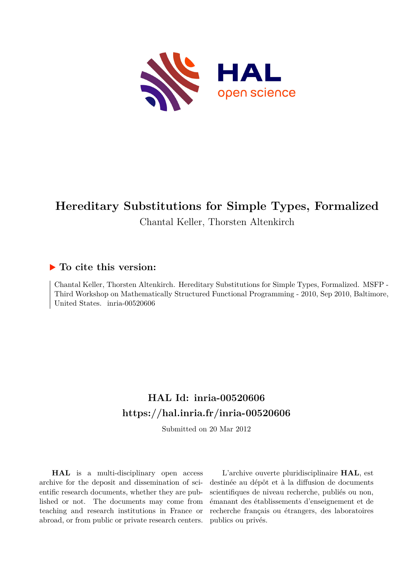

# **Hereditary Substitutions for Simple Types, Formalized** Chantal Keller, Thorsten Altenkirch

## **To cite this version:**

Chantal Keller, Thorsten Altenkirch. Hereditary Substitutions for Simple Types, Formalized. MSFP - Third Workshop on Mathematically Structured Functional Programming - 2010, Sep 2010, Baltimore, United States. inria-00520606

## **HAL Id: inria-00520606 <https://hal.inria.fr/inria-00520606>**

Submitted on 20 Mar 2012

**HAL** is a multi-disciplinary open access archive for the deposit and dissemination of scientific research documents, whether they are published or not. The documents may come from teaching and research institutions in France or abroad, or from public or private research centers.

L'archive ouverte pluridisciplinaire **HAL**, est destinée au dépôt et à la diffusion de documents scientifiques de niveau recherche, publiés ou non, émanant des établissements d'enseignement et de recherche français ou étrangers, des laboratoires publics ou privés.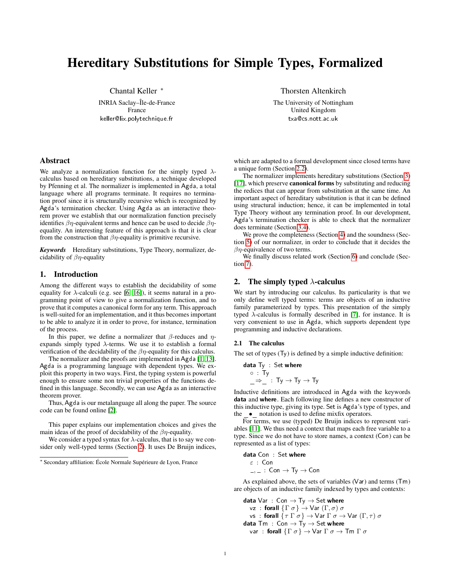## Hereditary Substitutions for Simple Types, Formalized

Chantal Keller <sup>∗</sup> INRIA Saclay–Île-de-France France

keller@lix.polytechnique.fr

Thorsten Altenkirch

The University of Nottingham United Kingdom txa@cs.nott.ac.uk

## Abstract

We analyze a normalization function for the simply typed  $\lambda$ calculus based on hereditary substitutions, a technique developed by Pfenning et al. The normalizer is implemented in Agda, a total language where all programs terminate. It requires no termination proof since it is structurally recursive which is recognized by Agda's termination checker. Using Agda as an interactive theorem prover we establish that our normalization function precisely identifies  $\beta \eta$ -equivalent terms and hence can be used to decide  $\beta \eta$ equality. An interesting feature of this approach is that it is clear from the construction that  $\beta \eta$ -equality is primitive recursive.

*Keywords* Hereditary substitutions, Type Theory, normalizer, decidability of  $\beta$ η-equality

## 1. Introduction

Among the different ways to establish the decidability of some equality for  $\lambda$ -calculi (e.g. see [\[6,](#page-7-0) [16\]](#page-7-1)), it seems natural in a programming point of view to give a normalization function, and to prove that it computes a canonical form for any term. This approach is well-suited for an implementation, and it thus becomes important to be able to analyze it in order to prove, for instance, termination of the process.

In this paper, we define a normalizer that  $\beta$ -reduces and  $\eta$ expands simply typed  $\lambda$ -terms. We use it to establish a formal verification of the decidability of the  $\beta\eta$ -equality for this calculus.

The normalizer and the proofs are implemented in Agda  $[1, 13]$  $[1, 13]$ . Agda is a programming language with dependent types. We exploit this property in two ways. First, the typing system is powerful enough to ensure some non trivial properties of the functions defined in this language. Secondly, we can use Agda as an interactive theorem prover.

Thus, Agda is our metalanguage all along the paper. The source code can be found online [\[2\]](#page-7-4).

This paper explains our implementation choices and gives the main ideas of the proof of decidability of the  $\beta\eta$ -equality.

We consider a typed syntax for  $\lambda$ -calculus, that is to say we consider only well-typed terms (Section [2\)](#page-1-0). It uses De Bruijn indices,

which are adapted to a formal development since closed terms have a unique form (Section [2.2\)](#page-2-0).

The normalizer implements hereditary substitutions (Section [3\)](#page-3-0) [\[17\]](#page-7-5), which preserve **canonical forms** by substituting and reducing the redices that can appear from substitution at the same time. An important aspect of hereditary substitution is that it can be defined using structural induction; hence, it can be implemented in total Type Theory without any termination proof. In our development, Agda's termination checker is able to check that the normalizer does terminate (Section [3.4\)](#page-4-0).

We prove the completeness (Section [4\)](#page-5-0) and the soundness (Section [5\)](#page-6-0) of our normalizer, in order to conclude that it decides the  $\beta$ η-equivalence of two terms.

We finally discuss related work (Section [6\)](#page-7-6) and conclude (Section [7\)](#page-7-7).

## <span id="page-1-0"></span>2. The simply typed  $\lambda$ -calculus

We start by introducing our calculus. Its particularity is that we only define well typed terms: terms are objects of an inductive family parameterized by types. This presentation of the simply typed  $\lambda$ -calculus is formally described in [\[7\]](#page-7-8), for instance. It is very convenient to use in Agda, which supports dependent type programming and inductive declarations.

## 2.1 The calculus

The set of types  $(T_y)$  is defined by a simple inductive definition:

data Ty : Set where

\n○ : Ty

\n
$$
\Rightarrow
$$
 : Ty → Ty → Ty

Inductive definitions are introduced in Agda with the keywords data and where. Each following line defines a new constructor of this inductive type, giving its type. Set is Agda's type of types, and the • notation is used to define mixfix operators.

For terms, we use (typed) De Bruijn indices to represent variables [\[11\]](#page-7-9). We thus need a context that maps each free variable to a type. Since we do not have to store names, a context  $(Con)$  can be represented as a list of types:

**data** Con : Set where 
$$
\varepsilon
$$
 : Con  $\rightarrow$   $\neg$ ,  $\rightarrow$  : Con  $\rightarrow$   $\forall$   $\rightarrow$  Con

As explained above, the sets of variables ( $Van$ ) and terms ( $T<sub>m</sub>$ ) are objects of an inductive family indexed by types and contexts:

data  $Var : Con \rightarrow Ty \rightarrow Set$  where  $νz$  : forall  ${Γ_σ}$   $\rightarrow$   $Var(Γ, σ) σ$ vs : forall  $\{\tau \Gamma \sigma\} \to \text{Var } \Gamma \sigma \to \text{Var } (\Gamma, \tau) \sigma$ data  $Tm : Con \rightarrow Ty \rightarrow Set$  where var : forall  $\{\Gamma \sigma\} \to \mathsf{Var} \Gamma \sigma \to \mathsf{T} \mathsf{m} \Gamma \sigma$ 

<sup>∗</sup> Secondary affiliation: École Normale Supérieure de Lyon, France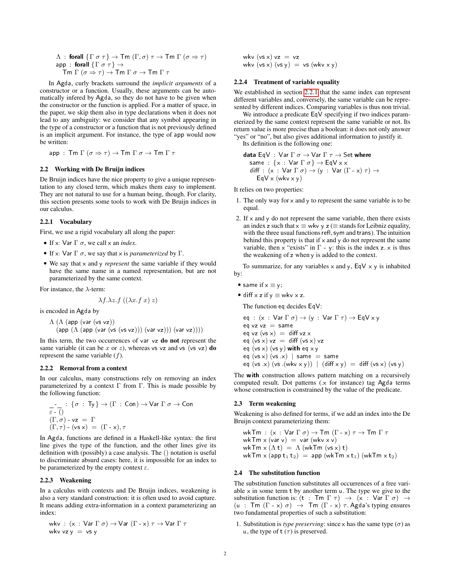$$
\begin{array}{l}\n\Lambda : \ \mathsf{forall}\ \{\Gamma\sigma\tau\} \to \mathsf{Tm}\ (\Gamma,\sigma)\ \tau \to \mathsf{Tm}\ \Gamma\ (\sigma \Rightarrow \tau) \\
\mathsf{app} : \ \mathsf{forall}\ \{\Gamma\sigma\tau\} \to \\
\mathsf{Tm}\ \Gamma\ (\sigma \Rightarrow \tau) \to \mathsf{Tm}\ \Gamma\ \sigma \to \mathsf{Tm}\ \Gamma\ \tau\n\end{array}
$$

In Agda, curly brackets surround the *implicit arguments* of a constructor or a function. Usually, these arguments can be automatically infered by Agda, so they do not have to be given when the constructor or the function is applied. For a matter of space, in the paper, we skip them also in type declarations when it does not lead to any ambiguity: we consider that any symbol appearing in the type of a constructor or a function that is not previously defined is an implicit argument. For instance, the type of app would now be written:

 $app : \mathsf{Tm}\Gamma(\sigma \Rightarrow \tau) \rightarrow \mathsf{Tm}\Gamma\sigma \rightarrow \mathsf{Tm}\Gamma\tau$ 

## <span id="page-2-0"></span>2.2 Working with De Bruijn indices

De Bruijn indices have the nice property to give a unique representation to any closed term, which makes them easy to implement. They are not natural to use for a human being, though. For clarity, this section presents some tools to work with De Bruijn indices in our calculus.

#### <span id="page-2-1"></span>2.2.1 Vocabulary

First, we use a rigid vocabulary all along the paper:

- If x: Var  $\Gamma \sigma$ , we call x an *index*.
- If x: Var  $\Gamma \sigma$ , we say that x is *parameterized* by  $\Gamma$ .
- We say that x and y *represent* the same variable if they would have the same name in a named representation, but are not parameterized by the same context.

For instance, the  $\lambda$ -term:

$$
\lambda f. \lambda z. f\left((\lambda x.f\ x)\ z\right)
$$

is encoded in Agda by

$$
\begin{array}{l}\Delta\,\left(\Delta\,\left(\text{app (var (vs vz))}\right.\right.\\ \left.\left(\text{app}\,\left(\Delta\,\left(\text{app (var (vs vz))}\right)\right)\,\left(\text{var vz})\right)\right)\right)\,\left(\text{var vz})\right)\right)\end{array}
$$

In this term, the two occurrences of  $var vz$  do not represent the same variable (it can be x or z), whereas vs  $vz$  and vs ( $vz$ ) do represent the same variable  $(f)$ .

#### 2.2.2 Removal from a context

In our calculus, many constructions rely on removing an index parameterized by a context Γ from Γ. This is made possible by the following function:

$$
\begin{array}{l}\n- - \quad : \{ \sigma \, : \, \text{Ty} \} \to (\Gamma \, : \, \text{Con}) \to \text{Var } \Gamma \, \sigma \to \text{Con} \\
\in \cdot \, () \\
(\Gamma, \sigma) \text{- vz} = \Gamma \\
(\Gamma, \tau) \text{- (vs x)} = (\Gamma \text{- x}), \tau\n\end{array}
$$

In Agda, functions are defined in a Haskell-like syntax: the first line gives the type of the function, and the other lines give its definition with (possibly) a case analysis. The () notation is useful to discriminate absurd cases: here, it is impossible for an index to be parameterized by the empty context  $\varepsilon$ .

#### <span id="page-2-3"></span>2.2.3 Weakening

In a calculus with contexts and De Bruijn indices, weakening is also a very standard construction: it is often used to avoid capture. It means adding extra-information in a context parameterizing an index:

$$
\begin{array}{l} \text{wkv} \, : \, (x \, : \, \text{Var} \, \Gamma \, \sigma) \rightarrow \text{Var} \, (\Gamma \text{-} x) \, \tau \rightarrow \text{Var} \, \Gamma \, \tau \\ \text{wkv} \, \text{vzy} \, = \, \text{vs} \, \text{y} \end{array}
$$

wkv ( $vs \times$ )  $vz = vz$ wkv  $(vs x) (vs y) = vs (wkv x y)$ 

#### <span id="page-2-2"></span>2.2.4 Treatment of variable equality

We established in section [2.2.1](#page-2-1) that the same index can represent different variables and, conversely, the same variable can be represented by different indices. Comparing variables is thus non trivial.

We introduce a predicate  $EqV$  specifying if two indices parameterized by the same context represent the same variable or not. Its return value is more precise than a boolean: it does not only answer "yes" or "no", but also gives additional information to justify it.

Its definition is the following one:

data EqV : Var  $\Gamma \sigma \rightarrow$  Var  $\Gamma \tau \rightarrow$  Set where same :  $\{x : \text{Var } \Gamma \sigma\} \rightarrow \text{EqV x x}$ diff :  $(x : Var \Gamma \sigma) \rightarrow (y : Var (\Gamma \cdot x) \tau) \rightarrow$  $EqV \times (wkv \times y)$ 

It relies on two properties:

- 1. The only way for  $x$  and  $y$  to represent the same variable is to be equal.
- 2. If  $\times$  and  $\times$  do not represent the same variable, then there exists an index z such that  $x \equiv$  wkv y z ( $\equiv$  stands for Leibniz equality, with the three usual functions refl, sym and trans). The intuition behind this property is that if  $\times$  and  $\times$  do not represent the same variable, then  $\times$  "exists" in  $\Gamma$  - y: this is the index z.  $\times$  is thus the weakening of z when y is added to the context.

To summarize, for any variables  $x$  and  $y$ ,  $EqV x y$  is inhabited by:

- same if  $x \equiv y$ ;
- diff  $x$  z if  $y \equiv$  wkv  $x$  z.

The function eq decides  $EqV:$ 

eq :  $(x : Var \Gamma \sigma) \rightarrow (y : Var \Gamma \tau) \rightarrow EqV x y$  $eq$  vz vz = same  $eq$  vz (vs x) = diff vz x  $eg (vs x) vz = diff (vs x) vz$ eq  $(vs x)$   $(vs y)$  with eq  $x y$ eq ( $vs x$ ) ( $vs x$ ) | same = same  $eq (vs x) (vs .(wkv x y)) | (diff x y) = diff (vs x) (vs y)$ 

The with construction allows pattern matching on a recursively computed result. Dot patterns ( $\times$  for instance) tag Agda terms whose construction is constrained by the value of the predicate.

#### <span id="page-2-4"></span>2.3 Term weakening

Weakening is also defined for terms, if we add an index into the De Bruijn context parameterizing them:

$$
\begin{array}{l} \mathsf{wkTm}\,:\, (\mathsf{x}\,:\, \mathsf{Var}\,\Gamma\,\sigma) \rightarrow \mathsf{Tm}\,\,(\Gamma\cdot\,\mathsf{x})\,\tau \rightarrow \mathsf{Tm}\,\Gamma\,\tau\\ \mathsf{wkTm}\,\mathsf{x}\,(\mathsf{var}\,\mathsf{v})\,=\, \mathsf{var}\,(\mathsf{wkv}\,\mathsf{x}\,\mathsf{v})\\ \mathsf{wkTm}\,\mathsf{x}\,(\Lambda\,\mathsf{t})\,=\,\Lambda\,(\mathsf{wkTm}\,(\mathsf{v}\,\mathsf{s}\,\mathsf{x})\,\mathsf{t})\\ \mathsf{wkTm}\,\mathsf{x}\,(\mathsf{app}\,\mathsf{t}_1\,\mathsf{t}_2)\,=\,\mathsf{app}\,(\mathsf{wkTm}\,\mathsf{x}\,\mathsf{t}_1)\,(\mathsf{wkTm}\,\mathsf{x}\,\mathsf{t}_2) \end{array}
$$

#### 2.4 The substitution function

The substitution function substitutes all occurrences of a free variable  $\times$  in some term t by another term  $\tan$ . The type we give to the substitution function is:  $(t : \mathsf{Tm} \Gamma \tau) \rightarrow (x : \mathsf{Var} \Gamma \sigma) \rightarrow$ (u : Tm  $(\Gamma - x) \sigma$ )  $\rightarrow$  Tm  $(\Gamma - x) \tau$ . Agda's typing ensures two fundamental properties of such a substitution:

1. Substitution is *type preserving*: since x has the same type ( $\sigma$ ) as u, the type of t  $(\tau)$  is preserved.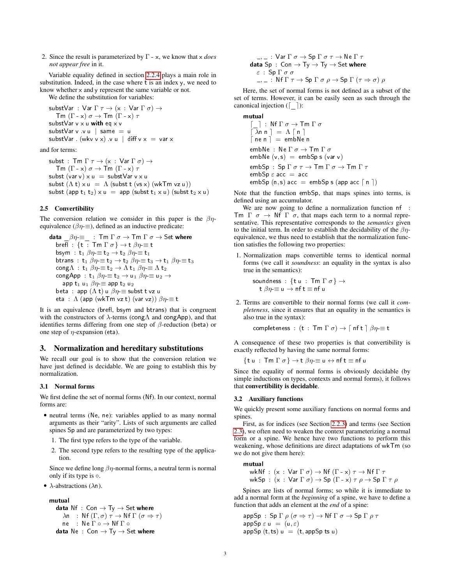2. Since the result is parameterized by Γ - x, we know that x *does not appear free* in it.

Variable equality defined in section [2.2.4](#page-2-2) plays a main role in substitution. Indeed, in the case where t is an index y, we need to know whether  $x$  and  $y$  represent the same variable or not.

We define the substitution for variables:

substVar : Var  $\Gamma \tau \rightarrow (\times : \text{Var } \Gamma \sigma) \rightarrow$  $\mathsf{Tm}(\Gamma \cdot x)$   $\sigma \to \mathsf{Tm}(\Gamma \cdot x)$   $\tau$ substVar  $v \times u$  with eq  $\times v$ substVar v v u  $\vert$  same  $\vert$  u substVar. (wkv v x) v u | diff v  $x = \text{var } x$ 

and for terms:

subst :  $\textsf{Tm}\,\Gamma\,\tau\rightarrow (\textsf{x}\,:\, \textsf{Var}\,\Gamma\,\sigma)\rightarrow$  $\mathsf{Tm}(\Gamma \cdot x)$   $\sigma \rightarrow \mathsf{Tm}(\Gamma \cdot x)$   $\tau$ subst (var v)  $\times u =$  substVar  $v \times u$ subst  $(\Lambda t) \times u = \Lambda$  (subst t (vs x) (wkTm vz u)) subst (app  $t_1$   $t_2$ )  $x u =$  app (subst  $t_1 x u$ ) (subst  $t_2 x u$ )

#### 2.5 Convertibility

The conversion relation we consider in this paper is the  $\beta\eta$ equivalence ( $\beta \eta \equiv$ ), defined as an inductive predicate:

data  $\beta\eta \equiv$  :  $\textsf{Im}\,\Gamma\,\sigma \rightarrow \textsf{Im}\,\Gamma\,\sigma \rightarrow \textsf{Set}$  where brefl :  $\{ \mathsf{t} \, : \, \operatorname{\mathsf{Tm}}\nolimits\Gamma\,\sigma\} \to \mathsf{t}\not\!\partial\eta \equiv \mathsf{t}$ bsym : t<sub>1</sub>  $\beta\eta \equiv$  t<sub>2</sub>  $\rightarrow$  t<sub>2</sub>  $\beta\eta \equiv$  t<sub>1</sub> btrans : t<sub>1</sub>  $\beta \eta \equiv$  t<sub>2</sub>  $\rightarrow$  t<sub>2</sub>  $\beta \eta \equiv$  t<sub>3</sub>  $\rightarrow$  t<sub>1</sub>  $\beta \eta \equiv$  t<sub>3</sub> cong $\Lambda$  : t<sub>1</sub>  $\beta \eta \equiv$  t<sub>2</sub>  $\rightarrow$   $\Lambda$  t<sub>1</sub>  $\beta \eta \equiv$   $\Lambda$  t<sub>2</sub> cong App : t<sub>1</sub>  $\beta \eta \equiv t_2 \rightarrow u_1 \beta \eta \equiv u_2 \rightarrow$ app  $t_1$  u<sub>1</sub>  $\beta\eta \equiv$  app  $t_2$  u<sub>2</sub> beta : app  $(\Lambda t)$  u  $\beta \eta \equiv$  subst t vz u eta :  $\Lambda$  (app (wkTm vz t) (var vz))  $\beta \eta = t$ 

It is an equivalence (brefl, bsym and btrans) that is congruent with the constructors of  $\lambda$ -terms (cong $\Lambda$  and congApp), and that identifies terms differing from one step of  $\beta$ -reduction (beta) or one step of  $\eta$ -expansion (eta).

#### <span id="page-3-0"></span>3. Normalization and hereditary substitutions

We recall our goal is to show that the conversion relation we have just defined is decidable. We are going to establish this by normalization.

#### <span id="page-3-1"></span>3.1 Normal forms

We first define the set of normal forms (Nf). In our context, normal forms are:

- neutral terms (Ne, ne): variables applied to as many normal arguments as their "arity". Lists of such arguments are called spines Sp and are parameterized by two types:
	- 1. The first type refers to the type of the variable.
	- 2. The second type refers to the resulting type of the application.

Since we define long  $\beta\eta$ -normal forms, a neutral term is normal only if its type is  $\circ$ .

•  $\lambda$ -abstractions ( $\lambda$ n).

mutual data Nf :  $Con \rightarrow Ty \rightarrow Set$  where  $\lambda$ n : Nf (Γ, σ)  $\tau \to$  Nf Γ (σ  $\Rightarrow \tau$ ) ne :  $N$ e  $\Gamma \circ \rightarrow N$ f  $\Gamma \circ$ data  $Ne$  :  $Con \rightarrow Ty \rightarrow Set$  where

$$
\neg, =: \text{Var } \Gamma \sigma \rightarrow \text{Sp } \Gamma \sigma \tau \rightarrow \text{Ne } \Gamma \tau
$$
\n
$$
\text{data Sp}: \text{Con } \rightarrow \text{Ty } \rightarrow \text{Ty } \rightarrow \text{Set where}
$$
\n
$$
\varepsilon: \text{Sp } \Gamma \sigma \sigma
$$
\n
$$
\neg, =: \text{Nf } \Gamma \tau \rightarrow \text{Sp } \Gamma \sigma \rho \rightarrow \text{Sp } \Gamma (\tau \Rightarrow \sigma) \rho
$$

Here, the set of normal forms is not defined as a subset of the set of terms. However, it can be easily seen as such through the canonical injection  $(\lceil \quad \rceil)$ :

mutual  $\lceil \;\; \rceil$  : Nf  $\Gamma \sigma \to \mathsf{T} \mathsf{m} \Gamma \sigma$  $\lceil \overline{\lambda}$ n n  $\rceil = \Lambda \lceil n \rceil$  $\lceil$  ne n  $\rceil$  = embNe n embNe : Ne  $\Gamma \sigma \rightarrow \mathsf{T} \mathsf{m} \Gamma \sigma$  $embNe (v, s) = embSp s (var v)$ embSp : Sp  $\Gamma \sigma \tau \to \mathsf{T} \mathsf{m} \Gamma \sigma \to \mathsf{T} \mathsf{m} \Gamma \tau$  $embSp \varepsilon$  acc = acc  $embSp(n, s)$  acc =  $embSp s (app acc [n])$ 

Note that the function embSp, that maps spines into terms, is defined using an accumulator.

We are now going to define a normalization function  $nf$ :  $T$ m Γ σ → Nf Γ σ, that maps each term to a normal representative. This representative corresponds to the *semantics* given to the initial term. In order to establish the decidability of the  $\beta\eta$ equivalence, we thus need to establish that the normalization function satisfies the following two properties:

1. Normalization maps convertible terms to identical normal forms (we call it *soundness*: an equality in the syntax is also true in the semantics):

soundness : {t u :  $\textsf{Tm} \Gamma \sigma$ }  $\rightarrow$ t  $\beta \eta \equiv u \rightarrow \text{nf } t \equiv \text{nf } u$ 

2. Terms are convertible to their normal forms (we call it *completeness*, since it ensures that an equality in the semantics is also true in the syntax):

completeness : (t : Tm  $\Gamma \sigma$ )  $\rightarrow$   $\lceil$  nf t  $\rceil \beta \eta \equiv$  t

A consequence of these two properties is that convertibility is exactly reflected by having the same normal forms:

$$
\{\mathsf{t} \mathsf{u} \,:\, \mathsf{Tm} \mathsf{\Gamma} \sigma\} \to \mathsf{t} \ \beta\eta \equiv \mathsf{u} \leftrightarrow \mathsf{nf} \ \mathsf{t} \equiv \mathsf{nf} \ \mathsf{u}
$$

Since the equality of normal forms is obviously decidable (by simple inductions on types, contexts and normal forms), it follows that convertibility is decidable.

#### 3.2 Auxiliary functions

We quickly present some auxiliary functions on normal forms and spines.

First, as for indices (see Section [2.2.3\)](#page-2-3) and terms (see Section [2.3\)](#page-2-4), we often need to weaken the context parameterizing a normal form or a spine. We hence have two functions to perform this weakening, whose definitions are direct adaptations of wkTm (so we do not give them here):

## mutual

wkNf :  $(x : Var \Gamma \sigma) \rightarrow Nf (\Gamma - x) \tau \rightarrow Nf \Gamma \tau$ wkSp :  $(x : \text{Var } \Gamma \sigma) \rightarrow \text{Sp } (\Gamma \cdot x) \tau \rho \rightarrow \text{Sp } \Gamma \tau \rho$ 

Spines are lists of normal forms; so while it is immediate to add a normal form at the *beginning* of a spine, we have to define a function that adds an element at the *end* of a spine:

 $\mathsf{appSp} : \mathsf{Sp} \, \Gamma \, \rho \, (\sigma \Rightarrow \tau) \to \mathsf{Nf} \, \Gamma \, \sigma \to \mathsf{Sp} \, \Gamma \, \rho \, \tau$  $appSp \varepsilon u = (u, \varepsilon)$  $appSp(t,ts)$   $u = (t, appSptsu)$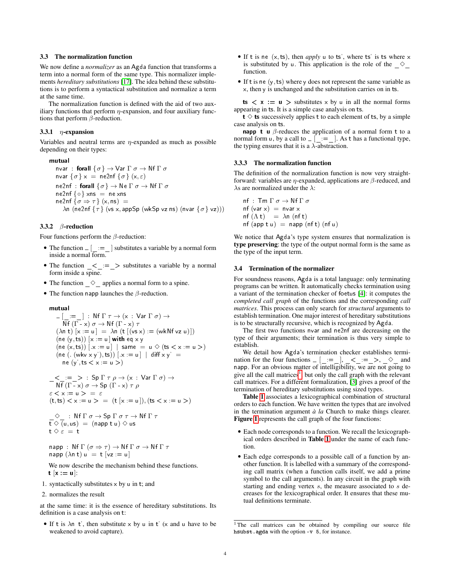## <span id="page-4-2"></span>3.3 The normalization function

We now define a *normalizer* as an Agda function that transforms a term into a normal form of the same type. This normalizer implements *hereditary substitutions* [\[17\]](#page-7-5). The idea behind these substitutions is to perform a syntactical substitution and normalize a term at the same time.

The normalization function is defined with the aid of two auxiliary functions that perform  $\eta$ -expansion, and four auxiliary functions that perform  $\beta$ -reduction.

## 3.3.1  $\eta$ -expansion

Variables and neutral terms are  $\eta$ -expanded as much as possible depending on their types:

mutual nvar : forall  $\{\sigma\} \to \mathsf{Var}\,\Gamma$   $\sigma \to \mathsf{Nf}\,\Gamma$   $\sigma$ nvar  $\{\sigma\} \times =$  ne2nf  $\{\sigma\}$  (x,  $\varepsilon$ ) ne2nf : forall  $\{\sigma\} \to \mathsf{Ne} \Gamma \sigma \to \mathsf{N} \mathsf{f} \Gamma \sigma$  $ne2nf \{ \circ \}$  xns = ne xns  $ne2nf {\sigma \Rightarrow \tau} (x, ns) =$  $\lambda$ n (ne2nf {τ} (vs x, appSp (wkSp vz ns) (nvar {σ} vz)))

## 3.3.2 β-reduction

Four functions perform the  $\beta$ -reduction:

- The function  $\begin{bmatrix} \vdots \\ \end{bmatrix}$  substitutes a variable by a normal form inside a normal form.
- The function  $\_\leq$  =  $\_\geq$  substitutes a variable by a normal form inside a spine.
- The function  $\Diamond$  applies a normal form to a spine.
- The function napp launches the  $\beta$ -reduction.

#### ♠✉t✉❛❧

$$
\begin{array}{l} \mathsf{---} \big[\begin{array}{c} \mathsf{---} \\ \mathsf{---} \end{array} \big] : \quad \mathsf{Nf} \, \Gamma \, \tau \to (\mathsf{x} \, : \, \mathsf{Var} \, \Gamma \, \sigma) \to \\ \mathsf{Nf} \, (\Gamma \cdot \mathsf{x}) \, \sigma \to \mathsf{Nf} \, (\Gamma \cdot \mathsf{x}) \, \tau \\ (\lambda \mathsf{n} \, \mathsf{t}) \, [\mathsf{x} := \mathsf{u}] = \lambda \mathsf{n} \, (\mathsf{t} \, [\mathsf{v}\mathsf{s}\,\mathsf{x}) := (\mathsf{wk}\mathsf{Nf}\,\mathsf{v}\mathsf{z}\,\mathsf{u})]) \\ (\mathsf{ne} \, (\mathsf{y},\mathsf{ts}) ) \, [\mathsf{x} := \mathsf{u}] \, |\! \mathsf{with} \, \mathsf{eq} \, \mathsf{x}\,\mathsf{y} \\ (\mathsf{ne} \, (\mathsf{x},\mathsf{ts}) ) \, [\mathsf{x} := \mathsf{u}] \, |\! \mathsf{s}\,\mathsf{ame} = \mathsf{u} \diamondsuit \, (\mathsf{ts} < \mathsf{x} := \mathsf{u} >) \\ (\mathsf{ne} \, (\mathsf{-(w}\mathsf{w}\mathsf{x}\,\mathsf{y}'),\mathsf{ts}) ) \, [\mathsf{x} := \mathsf{u}] \, |\! \mathsf{diff} \, \mathsf{x}\,\mathsf{y}' = \\ \mathsf{ne} \, (\mathsf{y}',\mathsf{ts} < \mathsf{x} := \mathsf{u} >) \\ \mathsf{-&} \, \mathsf{-:=} \, \mathsf{-&} \, : \, \mathsf{Sp} \, \Gamma \, \tau \, \rho \to (\mathsf{x} \, : \, \mathsf{Var} \, \Gamma \, \sigma) \to \\ \end{array}
$$

$$
Nf (\Gamma - x) \sigma \to Sp (\Gamma - x) \tau \rho
$$
  
\n
$$
\varepsilon < x := u > = \varepsilon
$$
  
\n
$$
(t, ts) < x := u > = (t [x := u]), (ts < x := u>)
$$

$$
\begin{array}{l} \n\circlearrowleft \ldots \text{ Nf } \Gamma \, \sigma \to \text{Sp } \Gamma \, \sigma \, \tau \to \text{ Nf } \Gamma \, \tau \\ \nt \diamondsuit \, (\mathsf{u}, \mathsf{u}\mathsf{s}) \ = \ (\text{napp t}\ \mathsf{u}) \diamondsuit \, \mathsf{u}\mathsf{s} \\ \nt \diamondsuit \ \varepsilon \ = \ \mathsf{t} \end{array}
$$

$$
\begin{array}{l} \mathsf{napp}\,:\,\mathsf{Nf}\,\Gamma\;(\sigma\Rightarrow\tau)\rightarrow\mathsf{Nf}\,\Gamma\,\sigma\rightarrow\mathsf{Nf}\,\Gamma\,\tau\\ \mathsf{napp}\;(\lambda\mathsf{n}\,\mathsf{t})\;\mathsf{u}\;=\;\mathsf{t}\;[\mathsf{vz}:=\mathsf{u}] \end{array}
$$

We now describe the mechanism behind these functions.  $t [x := u]$ :

- 1. syntactically substitutes  $\times$  by  $\mu$  in t; and
- 2. normalizes the result

at the same time: it is the essence of hereditary substitutions. Its definition is a case analysis on t:

• If t is  $\lambda$ n t', then substitute x by u in t' (x and u have to be weakened to avoid capture).

- If t is ne  $(x, ts)$ , then *apply*  $u$  to ts', where ts' is ts where  $x$ is substituted by u. This application is the role of the  $\Diamond$ function.
- If t is ne  $(y, ts)$  where y does not represent the same variable as x, then y is unchanged and the substitution carries on in ts.

ts  $\langle x := u \rangle$  substitutes  $x$  by  $u$  in all the normal forms appearing in ts. It is a simple case analysis on ts.

 $t \diamond$  ts successively applies t to each element of ts, by a simple case analysis on ts.

**napp t u**  $\beta$ -reduces the application of a normal form t to a normal form  $u$ , by a call to  $\Gamma$  =  $\Gamma$ . As t has a functional type, the typing ensures that it is a  $\lambda$ -abstraction.

#### 3.3.3 The normalization function

The definition of the normalization function is now very straightforward: variables are  $\eta$ -expanded, applications are  $\beta$ -reduced, and  $\lambda$ s are normalized under the  $\lambda$ :

nf :  $\text{Im }\Gamma \sigma \rightarrow \text{Nf }\Gamma \sigma$  $nf (var x) = nvar x$  $nf(\Lambda t) = \lambda n (nf t)$  $nf$  (app t u) = napp ( $nf$ ) ( $nf$  u)

We notice that Agda's type system ensures that normalization is type preserving: the type of the output normal form is the same as the type of the input term.

#### <span id="page-4-0"></span>3.4 Termination of the normalizer

For soundness reasons, Agda is a total language: only terminating programs can be written. It automatically checks termination using a variant of the termination checker of foetus [\[4\]](#page-7-10): it computes the *completed call graph* of the functions and the corresponding *call matrices*. This process can only search for *structural* arguments to establish termination. One major interest of hereditary substitutions is to be structurally recursive, which is recognized by Agda.

The first two functions nvar and ne2nf are decreasing on the type of their arguments; their termination is thus very simple to establish.

We detail how Agda's termination checker establishes termination for the four functions  $\begin{bmatrix} \end{bmatrix} = \begin{bmatrix} \end{bmatrix}$ ,  $\begin{bmatrix} \begin{array}{ccc} \leq \leq \leq \end{array} \end{bmatrix}$ ,  $\begin{bmatrix} \begin{array}{ccc} \leq \leq \leq \end{array} \end{bmatrix}$ ,  $\begin{array}{ccc} \begin{array}{ccc} \leq \leq \leq \leq \end{array}$ napp. For an obvious matter of intelligibility, we are not going to give all the call matrices<sup>[1](#page-4-1)</sup>, but only the call graph with the relevant call matrices. For a different formalization, [\[3\]](#page-7-11) gives a proof of the termination of hereditary substitutions using sized types.

Table [1](#page-5-1) associates a lexicographical combination of structural orders to each function. We have written the types that are involved in the termination argument *à la* Church to make things clearer. Figure [1](#page-5-2) represents the call graph of the four functions:

- Each node corresponds to a function. We recall the lexicographical orders described in Table [1](#page-5-1) under the name of each function.
- Each edge corresponds to a possible call of a function by another function. It is labelled with a summary of the corresponding call matrix (when a function calls itself, we add a prime symbol to the call arguments). In any circuit in the graph with starting and ending vertex s, the measure associated to s decreases for the lexicographical order. It ensures that these mutual definitions terminate.

<span id="page-4-1"></span><sup>&</sup>lt;sup>1</sup>The call matrices can be obtained by compiling our source file h sub st. agda with the option -v 5, for instance.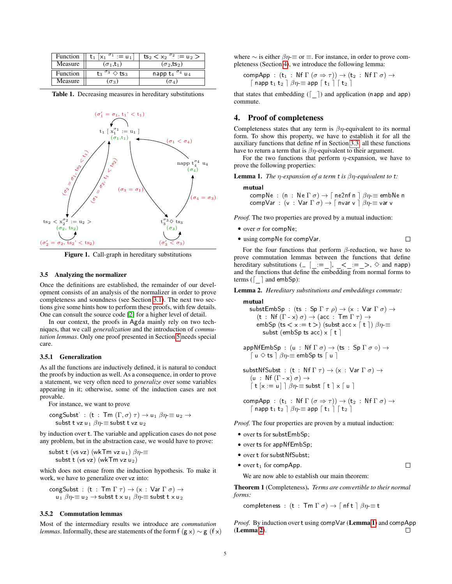| Function | $t_1$ $x_1$ $\sigma_1$ = $u_1$                             | $ts_2 < x_2$ <sup><math>\sigma_2</math></sup> := u <sub>2</sub> > |
|----------|------------------------------------------------------------|-------------------------------------------------------------------|
| Measure  | $(\sigma_1,t_1)$                                           | $(\sigma_2, ts_2)$                                                |
| Function | , $\overline{\sigma}_3 \diamondsuit$ ts <sub>3</sub><br>τs | napp $t_4$ $\sigma_4$ $u_4$                                       |
| Measure  | $\sigma$                                                   | $\sigma_A$                                                        |

<span id="page-5-1"></span>Table 1. Decreasing measures in hereditary substitutions



<span id="page-5-2"></span>Figure 1. Call-graph in hereditary substitutions

## <span id="page-5-6"></span>3.5 Analyzing the normalizer

Once the definitions are established, the remainder of our development consists of an analysis of the normalizer in order to prove completeness and soundness (see Section [3.1\)](#page-3-1). The next two sections give some hints how to perform these proofs, with few details. One can consult the source code [\[2\]](#page-7-4) for a higher level of detail.

In our context, the proofs in Agda mainly rely on two techniques, that we call *generalization* and the introduction of *commutation lemmas*. Only one proof presented in Section [5](#page-6-0) needs special care.

#### <span id="page-5-5"></span>3.5.1 Generalization

As all the functions are inductively defined, it is natural to conduct the proofs by induction as well. As a consequence, in order to prove a statement, we very often need to *generalize* over some variables appearing in it; otherwise, some of the induction cases are not provable.

For instance, we want to prove

$$
\mathsf{congSubst'}: (\mathsf{t} : \mathsf{Tm}(\Gamma, \sigma) \tau) \to \mathsf{u}_1 \beta \eta \equiv \mathsf{u}_2 \to
$$
  
 
$$
\mathsf{subst} \mathsf{t} \mathsf{vz} \mathsf{u}_1 \beta \eta \equiv \mathsf{subst} \mathsf{t} \mathsf{vz} \mathsf{u}_2
$$

by induction over t. The variable and application cases do not pose any problem, but in the abstraction case, we would have to prove:

subst t (vs vz) (wkTm vz  $u_1$ )  $\beta n \equiv$ subst t ( $vs$  vz) (wkTm vz  $u_2$ )

which does not ensue from the induction hypothesis. To make it work, we have to generalize over vz into:

$$
\begin{array}{l} \mathsf{congSubst} \; : \; (\mathsf{t} \; : \; \mathsf{Tm} \; \Gamma \; \tau) \rightarrow (\mathsf{x} \; : \; \mathsf{Var} \; \Gamma \; \sigma) \rightarrow \\ \mathsf{u}_1 \; \beta \eta \equiv \mathsf{u}_2 \rightarrow \mathsf{subst} \; \mathsf{t} \; \mathsf{x} \; \mathsf{u}_1 \; \beta \eta \equiv \mathsf{subst} \; \mathsf{t} \; \mathsf{x} \; \mathsf{u}_2 \end{array}
$$

## 3.5.2 Commutation lemmas

Most of the intermediary results we introduce are *commutation lemmas*. Informally, these are statements of the form  $f(g \times) \sim g(f \times)$ 

where  $\sim$  is either  $\beta \eta \equiv$  or  $\equiv$ . For instance, in order to prove completeness (Section [4\)](#page-5-0), we introduce the following lemma:

$$
\begin{array}{c} \mathsf{compApp}: \ (\mathsf{t}_1\,:\,\mathsf{Nf}\,\Gamma\,(\sigma \Rightarrow \tau)) \rightarrow (\mathsf{t}_2\,:\,\mathsf{Nf}\,\Gamma\,\sigma) \rightarrow \\ \begin{array}{c} \lceil \ \mathsf{napp}\,\mathsf{t}_1\,\mathsf{t}_2\,\rceil\,\,\beta\eta = \mathsf{app}\,\lceil\ \mathsf{t}_1\,\rceil\,\lceil\ \mathsf{t}_2\,\rceil \end{array} \end{array}
$$

that states that embedding ( $\lceil \quad \rceil$ ) and application (napp and app) commute.

## <span id="page-5-0"></span>4. Proof of completeness

Completeness states that any term is  $\beta\eta$ -equivalent to its normal form. To show this property, we have to establish it for all the auxiliary functions that define  $nf$  in Section [3.3:](#page-4-2) all these functions have to return a term that is  $\beta\eta$ -equivalent to their argument.

For the two functions that perform  $\eta$ -expansion, we have to prove the following properties:

<span id="page-5-3"></span>**Lemma 1.** *The η-expansion of a term t is*  $\beta$ *<i>η-equivalent to t:* 

#### mutual

compNe : (n : Ne  $\Gamma \sigma$ )  $\rightarrow \Gamma$  ne2nf n  $\partial \eta \equiv$  embNe n compVar : (v : Var  $\Gamma \sigma$ )  $\rightarrow$   $\lceil$  nvar v  $\rceil \beta \eta \equiv$  var v

*Proof.* The two properties are proved by a mutual induction:

• over  $\sigma$  for compNe;

• using 
$$
\text{compNe}
$$
 for  $\text{compVar}$ .

For the four functions that perform  $\beta$ -reduction, we have to prove commutation lemmas between the functions that define hereditary substitutions ( $\begin{bmatrix} \end{bmatrix} = \begin{bmatrix} \end{bmatrix}, \begin{bmatrix} \end{bmatrix} = \begin{bmatrix} \end{bmatrix}, \begin{bmatrix} \end{bmatrix} = \begin{bmatrix} \end{bmatrix}$ ,  $\begin{bmatrix} \end{bmatrix} = \begin{bmatrix} \end{bmatrix}$ ,  $\begin{bmatrix} \end{bmatrix} = \begin{bmatrix} \end{bmatrix}$ ,  $\begin{bmatrix} \end{bmatrix} = \begin{bmatrix} \end{bmatrix}$ ,  $\begin{bmatrix} \end{bmatrix} = \begin{bmatrix} \end{bmatrix}$ , and the functions that define the embedding from normal forms to terms ( $\lceil \ \ \rceil$  and embSp):

<span id="page-5-4"></span>Lemma 2. *Hereditary substitutions and embeddings commute:*

mutual subst EmbSp : (ts : Sp  $\Gamma \tau \rho$ )  $\rightarrow$  (x : Var  $\Gamma \sigma$ )  $\rightarrow$ (t : Nf  $(\Gamma \cdot x) \sigma$ )  $\rightarrow$  (acc : Tm  $\Gamma \tau$ )  $\rightarrow$ embSp (ts  $\langle x := t \rangle$ ) (subst acc  $x \upharpoonright t \upharpoonright$ )  $\beta \eta \equiv$ subst (embSp ts acc)  $x \upharpoonright t$ ]

$$
\mathsf{appNfEmbSp} : (u : Nf \Gamma \sigma) \to (ts : Sp \Gamma \sigma \circ) \to
$$
  

$$
\lceil u \diamondsuit ts \rceil \beta \eta = \mathsf{embSp} \, \mathsf{ts} \lceil u \rceil
$$

substNfSubst : (t : Nf  $\Gamma \tau$ )  $\rightarrow$  (x : Var  $\Gamma \sigma$ )  $\rightarrow$  $(u : Nf(\Gamma x) \sigma) \rightarrow$  $\lceil$  t  $\lceil x := u \rceil \mid \beta\eta \equiv$  subst  $\lceil$  t  $\rceil$  x  $\lceil$  u  $\rceil$ 

compApp :  $(t_1 : Nf \Gamma (\sigma \Rightarrow \tau)) \rightarrow (t_2 : Nf \Gamma \sigma) \rightarrow$  $\lceil$  napp  $t_1$   $t_2$   $\rceil \beta \eta \equiv$  app  $\lceil t_1 \rceil \lceil t_2 \rceil$ 

*Proof.* The four properties are proven by a mutual induction:

- over ts for substEmbSp;
- over ts for appNfEmbSp;
- over t for substNfSubst;
- over  $t_1$  for compApp.  $\Box$

We are now able to establish our main theorem:

<span id="page-5-7"></span>Theorem 1 (Completeness). *Terms are convertible to their normal forms:*

completeness : (t :  $\textsf{Tm} \Gamma \sigma$ )  $\rightarrow$   $\lceil \textsf{nft} \rceil$   $\beta \eta =$  t

*Proof.* By induction over t using compVar (Lemma [1](#page-5-3)) and compApp (Lemma [2](#page-5-4)). П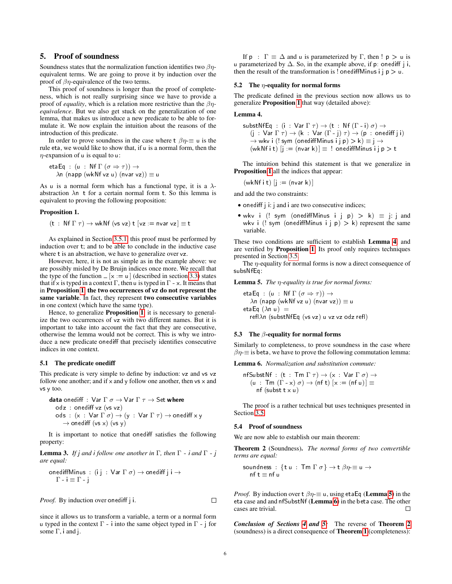## <span id="page-6-0"></span>5. Proof of soundness

Soundness states that the normalization function identifies two  $\beta\eta$ equivalent terms. We are going to prove it by induction over the proof of  $\beta\eta$ -equivalence of the two terms.

This proof of soundness is longer than the proof of completeness, which is not really surprising since we have to provide a proof of *equality*, which is a relation more restrictive than the βη*equivalence*. But we also get stuck on the generalization of one lemma, that makes us introduce a new predicate to be able to formulate it. We now explain the intuition about the reasons of the introduction of this predicate.

In order to prove soundness in the case where  $t \beta \eta \equiv u$  is the rule eta, we would like to show that, if u is a normal form, then the  $\eta$ -expansion of u is equal to u:

```
etaEq : (u : Nf \Gamma (\sigma \Rightarrow \tau)) \rightarrow\lambdan (napp (wkNf vz u) (nvar vz)) \equiv u
```
As u is a normal form which has a functional type, it is a  $\lambda$ abstraction  $\lambda$ n t for a certain normal form t. So this lemma is equivalent to proving the following proposition:

#### <span id="page-6-1"></span>Proposition 1.

$$
(\texttt{t} \; : \; \texttt{Nf } \Gamma \; \tau) \rightarrow \texttt{wkNf (vs vz) } \texttt{t} \; [\texttt{vz} := \texttt{nvar vz}] \equiv \texttt{t}
$$

As explained in Section [3.5.1,](#page-5-5) this proof must be performed by induction over t; and to be able to conclude in the inductive case where t is an abstraction, we have to generalize over  $vz$ .

However, here, it is not as simple as in the example above: we are possibly misled by De Bruijn indices once more. We recall that the type of the function  $\lfloor x \rfloor = u \rfloor$  (described in section [3.3\)](#page-4-2) states that if x is typed in a context  $\Gamma$ , then u is typed in  $\Gamma$   $\rightarrow$  x. It means that in Proposition [1](#page-6-1), the two occurrences of vz do not represent the same variable. In fact, they represent two consecutive variables in one context (which have the same type).

Hence, to generalize **Proposition [1](#page-6-1)**, it is necessary to generalize the two occurrences of vz with two different names. But it is important to take into account the fact that they are consecutive, otherwise the lemma would not be correct. This is why we introduce a new predicate one diff that precisely identifies consecutive indices in one context.

#### 5.1 The predicate onediff

This predicate is very simple to define by induction:  $vz$  and  $vs$   $vz$ follow one another; and if  $x$  and  $y$  follow one another, then  $vs$   $x$  and vs y too.

**data** onediff : 
$$
\text{Var } \Gamma \sigma \rightarrow \text{Var } \Gamma \tau \rightarrow \text{Set where}
$$
  
odz : onediff vz (vs vz)  
ods :  $(x : \text{Var } \Gamma \sigma) \rightarrow (y : \text{Var } \Gamma \tau) \rightarrow \text{onediff } x y$   
 $\rightarrow$  onediff (vs x) (vs y)

It is important to notice that onediff satisfies the following property:

**Lemma 3.** *If*  $j$  *and*  $i$  *follow one another in*  $\Gamma$ *, then*  $\Gamma$   $\rightarrow$  *i and*  $\Gamma$   $\rightarrow$  *j are equal:*

$$
\text{onediffMinus}: (i j : \text{Var } \Gamma \sigma) \to \text{onediff } j i \to \Gamma - i \equiv \Gamma - j
$$

*Proof.* By induction over onediff *j* i.

since it allows us to transform a variable, a term or a normal form u typed in the context  $\Gamma$  + into the same object typed in  $\Gamma$  + j for some  $\Gamma$ , i and j.

If  $p : \Gamma \equiv \Delta$  and u is parameterized by  $\Gamma$ , then !  $p > u$  is u parameterized by  $\Delta$ . So, in the example above, if p: onediff i i, then the result of the transformation is ! one diff Minus i  $j \, p > u$ .

#### 5.2 The  $\eta$ -equality for normal forms

The predicate defined in the previous section now allows us to generalize Proposition [1](#page-6-1) that way (detailed above):

#### <span id="page-6-2"></span>Lemma 4.

substNfEq : (i : Var  $\Gamma \tau$ )  $\rightarrow$  (t : Nf ( $\Gamma$  - i)  $\sigma$ )  $\rightarrow$  $(j : \text{Var } \Gamma \tau) \rightarrow (k : \text{Var } (\Gamma \cdot j) \tau) \rightarrow (p : \text{onediff } j i)$  $\rightarrow$  wkv i (! sym (onediffMinus i j p)  $>$  k)  $\equiv$  j  $\rightarrow$  $(wkNf i t)$   $[j := (nv a r k)] \equiv !$  oned iff Minus  $i j p > t$ 

The intuition behind this statement is that we generalize in Proposition [1](#page-6-1) all the indices that appear:

 $(wkNf it)$   $j := (nvar k)$ 

and add the two constraints:

- onediff j i: j and i are two consecutive indices;
- wkv i (! sym (onediffMinus i j  $p$ ) > k)  $\equiv$  j: j and wkv i (! sym (onediffMinus i j p) > k) represent the same variable.

These two conditions are sufficient to establish Lemma [4](#page-6-2), and are verified by Proposition [1](#page-6-1). Its proof only requires techniques presented in Section [3.5.](#page-5-6)

The  $\eta$ -equality for normal forms is now a direct consequence of subsNfEa:

<span id="page-6-3"></span>Lemma 5. *The* η*-equality is true for normal forms:*

etaEq : (u : Nf  $\Gamma$  ( $\sigma \Rightarrow \tau$ ))  $\rightarrow$  $\lambda$ n (napp (wkNf vz u) (nvar vz))  $\equiv$  u etaEq  $(\lambda n u) =$ reflλn (substNfEq (vs vz) u vz vz odz refl)

#### 5.3 The  $\beta$ -equality for normal forms

Similarly to completeness, to prove soundness in the case where  $\beta \eta \equiv$  is beta, we have to prove the following commutation lemma:

<span id="page-6-4"></span>Lemma 6. *Normalization and substitution commute:*

$$
\begin{array}{l} \mathsf{nfSubstNf} : (\mathsf{t} : \mathsf{Tm} \Gamma \tau) \to (\mathsf{x} : \mathsf{Var} \Gamma \sigma) \to \\ (\mathsf{u} : \mathsf{Tm} \left( \Gamma \cdot \mathsf{x} \right) \sigma) \to (\mathsf{nf} \ \mathsf{t}) \ [\mathsf{x} := (\mathsf{nf} \ \mathsf{u})] \equiv \\ \mathsf{nf} \ (\mathsf{subst} \ \mathsf{t} \ \mathsf{x} \ \mathsf{u}) \end{array}
$$

The proof is a rather technical but uses techniques presented in Section [3.5.](#page-5-6)

#### 5.4 Proof of soundness

<span id="page-6-5"></span>We are now able to establish our main theorem:

Theorem 2 (Soundness). *The normal forms of two convertible terms are equal:*

$$
\begin{array}{l}\text{soundness}: \{\mathbf{t} \; \mathbf{u} \, : \, \mathsf{Tm} \; \Gamma \; \sigma \} \to \mathbf{t} \; \beta \eta \equiv \mathbf{u} \to \\ \text{nf} \; \mathbf{t} \equiv \mathbf{nf} \; \mathbf{u}\end{array}
$$

*Proof.* By induction over  $t \beta \eta \equiv u$ , using etaEq (Lemma [5](#page-6-3)) in the eta case and and nfSubstNf (Lemma [6](#page-6-4)) in the beta case. The other cases are trivial.  $\Box$ 

*Conclusion of Sections [4](#page-5-0) and [5:](#page-6-0)* The reverse of Theorem [2](#page-6-5) (soundness) is a direct consequence of Theorem [1](#page-5-7) (completeness):

 $\Box$